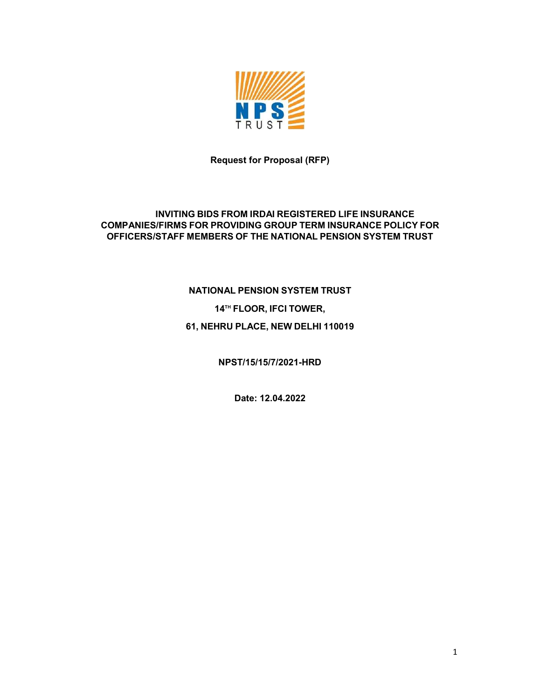

Request for Proposal (RFP)

#### INVITING BIDS FROM IRDAI REGISTERED LIFE INSURANCE COMPANIES/FIRMS FOR PROVIDING GROUP TERM INSURANCE POLICY FOR OFFICERS/STAFF MEMBERS OF THE NATIONAL PENSION SYSTEM TRUST

# NATIONAL PENSION SYSTEM TRUST 14<sup>TH</sup> FLOOR, IFCI TOWER, 61, NEHRU PLACE, NEW DELHI 110019

NPST/15/15/7/2021-HRD

Date: 12.04.2022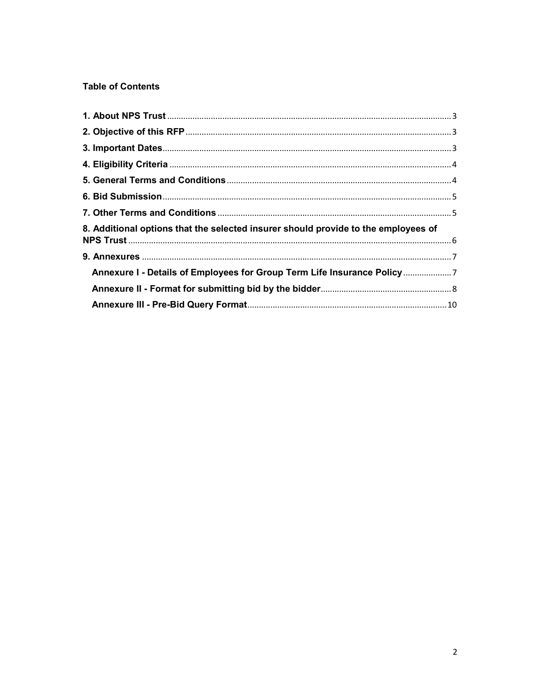#### **Table of Contents**

| 8. Additional options that the selected insurer should provide to the employees of |  |
|------------------------------------------------------------------------------------|--|
|                                                                                    |  |
| Annexure I - Details of Employees for Group Term Life Insurance Policy             |  |
|                                                                                    |  |
|                                                                                    |  |
|                                                                                    |  |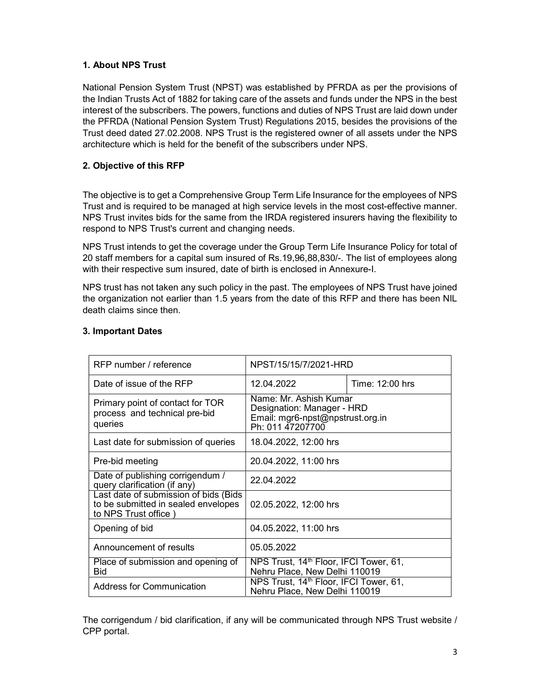#### 1. About NPS Trust

National Pension System Trust (NPST) was established by PFRDA as per the provisions of the Indian Trusts Act of 1882 for taking care of the assets and funds under the NPS in the best interest of the subscribers. The powers, functions and duties of NPS Trust are laid down under the PFRDA (National Pension System Trust) Regulations 2015, besides the provisions of the Trust deed dated 27.02.2008. NPS Trust is the registered owner of all assets under the NPS architecture which is held for the benefit of the subscribers under NPS.

#### 2. Objective of this RFP

The objective is to get a Comprehensive Group Term Life Insurance for the employees of NPS Trust and is required to be managed at high service levels in the most cost-effective manner. NPS Trust invites bids for the same from the IRDA registered insurers having the flexibility to respond to NPS Trust's current and changing needs.

NPS Trust intends to get the coverage under the Group Term Life Insurance Policy for total of 20 staff members for a capital sum insured of Rs.19,96,88,830/-. The list of employees along with their respective sum insured, date of birth is enclosed in Annexure-I.

NPS trust has not taken any such policy in the past. The employees of NPS Trust have joined the organization not earlier than 1.5 years from the date of this RFP and there has been NIL death claims since then.

| RFP number / reference                                                                               | NPST/15/15/7/2021-HRD                                                                                        |                 |
|------------------------------------------------------------------------------------------------------|--------------------------------------------------------------------------------------------------------------|-----------------|
| Date of issue of the RFP                                                                             | 12.04.2022                                                                                                   | Time: 12:00 hrs |
| Primary point of contact for TOR<br>process and technical pre-bid<br>queries                         | Name: Mr. Ashish Kumar<br>Designation: Manager - HRD<br>Email: mgr6-npst@npstrust.org.in<br>Ph: 011 47207700 |                 |
| Last date for submission of queries                                                                  | 18.04.2022, 12:00 hrs                                                                                        |                 |
| Pre-bid meeting                                                                                      | 20.04.2022, 11:00 hrs                                                                                        |                 |
| Date of publishing corrigendum /<br>query clarification (if any)                                     | 22.04.2022                                                                                                   |                 |
| Last date of submission of bids (Bids<br>to be submitted in sealed envelopes<br>to NPS Trust office) | 02.05.2022, 12:00 hrs                                                                                        |                 |
| Opening of bid                                                                                       | 04.05.2022, 11:00 hrs                                                                                        |                 |
| Announcement of results                                                                              | 05.05.2022                                                                                                   |                 |
| Place of submission and opening of<br><b>Bid</b>                                                     | NPS Trust, 14 <sup>th</sup> Floor, IFCI Tower, 61,<br>Nehru Place, New Delhi 110019                          |                 |
| <b>Address for Communication</b>                                                                     | NPS Trust, 14 <sup>th</sup> Floor, IFCI Tower, 61,<br>Nehru Place, New Delhi 110019                          |                 |

#### 3. Important Dates

The corrigendum / bid clarification, if any will be communicated through NPS Trust website / CPP portal.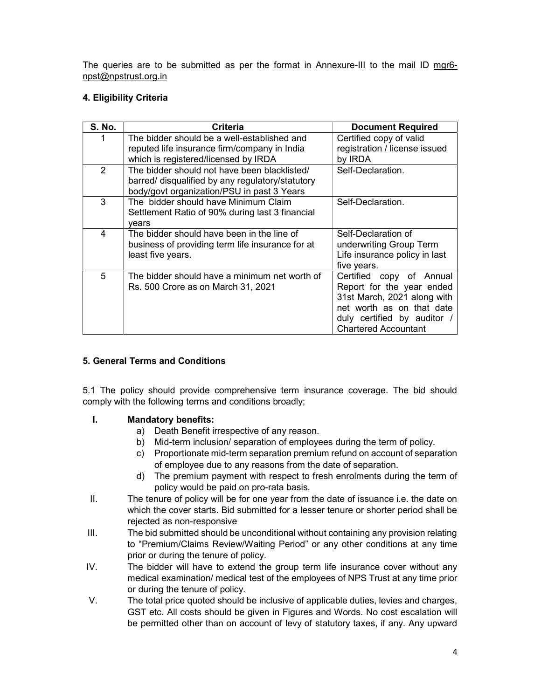The queries are to be submitted as per the format in Annexure-III to the mail ID mgr6 npst@npstrust.org.in

### 4. Eligibility Criteria

| <b>S. No.</b> | Criteria                                         | <b>Document Required</b>      |
|---------------|--------------------------------------------------|-------------------------------|
|               | The bidder should be a well-established and      | Certified copy of valid       |
|               | reputed life insurance firm/company in India     | registration / license issued |
|               | which is registered/licensed by IRDA             | by IRDA                       |
| 2             | The bidder should not have been blacklisted/     | Self-Declaration.             |
|               | barred/ disqualified by any regulatory/statutory |                               |
|               | body/govt organization/PSU in past 3 Years       |                               |
| 3             | The bidder should have Minimum Claim             | Self-Declaration.             |
|               | Settlement Ratio of 90% during last 3 financial  |                               |
|               | vears                                            |                               |
| 4             | The bidder should have been in the line of       | Self-Declaration of           |
|               | business of providing term life insurance for at | underwriting Group Term       |
|               | least five years.                                | Life insurance policy in last |
|               |                                                  | five years.                   |
| 5             | The bidder should have a minimum net worth of    | Certified<br>copy of Annual   |
|               | Rs. 500 Crore as on March 31, 2021               | Report for the year ended     |
|               |                                                  | 31st March, 2021 along with   |
|               |                                                  | net worth as on that date     |
|               |                                                  | duly certified by auditor /   |
|               |                                                  | <b>Chartered Accountant</b>   |

#### 5. General Terms and Conditions

5.1 The policy should provide comprehensive term insurance coverage. The bid should comply with the following terms and conditions broadly;

#### I. Mandatory benefits:

- a) Death Benefit irrespective of any reason.
- b) Mid-term inclusion/ separation of employees during the term of policy.
- c) Proportionate mid-term separation premium refund on account of separation of employee due to any reasons from the date of separation.
- d) The premium payment with respect to fresh enrolments during the term of policy would be paid on pro-rata basis.
- II. The tenure of policy will be for one year from the date of issuance i.e. the date on which the cover starts. Bid submitted for a lesser tenure or shorter period shall be rejected as non-responsive
- III. The bid submitted should be unconditional without containing any provision relating to "Premium/Claims Review/Waiting Period" or any other conditions at any time prior or during the tenure of policy.
- IV. The bidder will have to extend the group term life insurance cover without any medical examination/ medical test of the employees of NPS Trust at any time prior or during the tenure of policy.
- V. The total price quoted should be inclusive of applicable duties, levies and charges, GST etc. All costs should be given in Figures and Words. No cost escalation will be permitted other than on account of levy of statutory taxes, if any. Any upward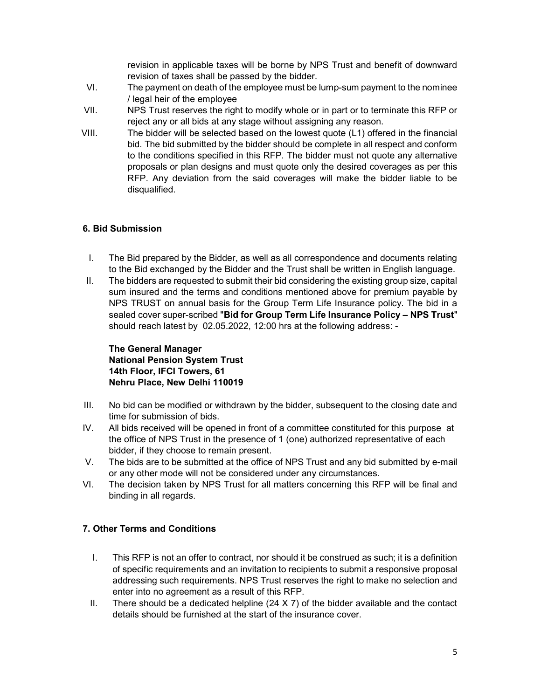revision in applicable taxes will be borne by NPS Trust and benefit of downward revision of taxes shall be passed by the bidder.

- VI. The payment on death of the employee must be lump-sum payment to the nominee / legal heir of the employee
- VII. NPS Trust reserves the right to modify whole or in part or to terminate this RFP or reject any or all bids at any stage without assigning any reason.
- VIII. The bidder will be selected based on the lowest quote (L1) offered in the financial bid. The bid submitted by the bidder should be complete in all respect and conform to the conditions specified in this RFP. The bidder must not quote any alternative proposals or plan designs and must quote only the desired coverages as per this RFP. Any deviation from the said coverages will make the bidder liable to be disqualified.

#### 6. Bid Submission

- I. The Bid prepared by the Bidder, as well as all correspondence and documents relating to the Bid exchanged by the Bidder and the Trust shall be written in English language.
- II. The bidders are requested to submit their bid considering the existing group size, capital sum insured and the terms and conditions mentioned above for premium payable by NPS TRUST on annual basis for the Group Term Life Insurance policy. The bid in a sealed cover super-scribed "Bid for Group Term Life Insurance Policy – NPS Trust" should reach latest by 02.05.2022, 12:00 hrs at the following address: -

The General Manager National Pension System Trust 14th Floor, IFCI Towers, 61 Nehru Place, New Delhi 110019

- III. No bid can be modified or withdrawn by the bidder, subsequent to the closing date and time for submission of bids.
- IV. All bids received will be opened in front of a committee constituted for this purpose at the office of NPS Trust in the presence of 1 (one) authorized representative of each bidder, if they choose to remain present.
- V. The bids are to be submitted at the office of NPS Trust and any bid submitted by e-mail or any other mode will not be considered under any circumstances.
- VI. The decision taken by NPS Trust for all matters concerning this RFP will be final and binding in all regards.

#### 7. Other Terms and Conditions

- I. This RFP is not an offer to contract, nor should it be construed as such; it is a definition of specific requirements and an invitation to recipients to submit a responsive proposal addressing such requirements. NPS Trust reserves the right to make no selection and enter into no agreement as a result of this RFP.
- II. There should be a dedicated helpline  $(24 \times 7)$  of the bidder available and the contact details should be furnished at the start of the insurance cover.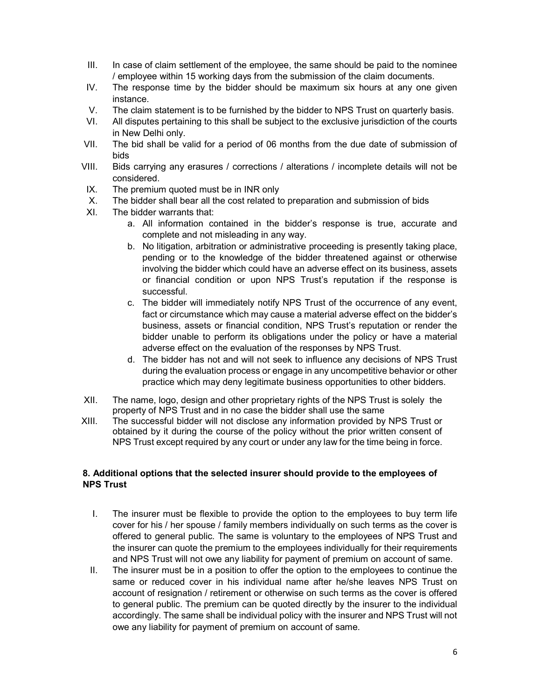- III. In case of claim settlement of the employee, the same should be paid to the nominee / employee within 15 working days from the submission of the claim documents.
- IV. The response time by the bidder should be maximum six hours at any one given instance.
- V. The claim statement is to be furnished by the bidder to NPS Trust on quarterly basis.
- VI. All disputes pertaining to this shall be subject to the exclusive jurisdiction of the courts in New Delhi only.
- VII. The bid shall be valid for a period of 06 months from the due date of submission of bids
- VIII. Bids carrying any erasures / corrections / alterations / incomplete details will not be considered.
- IX. The premium quoted must be in INR only
- X. The bidder shall bear all the cost related to preparation and submission of bids
- XI. The bidder warrants that:
	- a. All information contained in the bidder's response is true, accurate and complete and not misleading in any way.
	- b. No litigation, arbitration or administrative proceeding is presently taking place, pending or to the knowledge of the bidder threatened against or otherwise involving the bidder which could have an adverse effect on its business, assets or financial condition or upon NPS Trust's reputation if the response is successful.
	- c. The bidder will immediately notify NPS Trust of the occurrence of any event, fact or circumstance which may cause a material adverse effect on the bidder's business, assets or financial condition, NPS Trust's reputation or render the bidder unable to perform its obligations under the policy or have a material adverse effect on the evaluation of the responses by NPS Trust.
	- d. The bidder has not and will not seek to influence any decisions of NPS Trust during the evaluation process or engage in any uncompetitive behavior or other practice which may deny legitimate business opportunities to other bidders.
- XII. The name, logo, design and other proprietary rights of the NPS Trust is solely the property of NPS Trust and in no case the bidder shall use the same
- XIII. The successful bidder will not disclose any information provided by NPS Trust or obtained by it during the course of the policy without the prior written consent of NPS Trust except required by any court or under any law for the time being in force.

#### 8. Additional options that the selected insurer should provide to the employees of NPS Trust

- I. The insurer must be flexible to provide the option to the employees to buy term life cover for his / her spouse / family members individually on such terms as the cover is offered to general public. The same is voluntary to the employees of NPS Trust and the insurer can quote the premium to the employees individually for their requirements and NPS Trust will not owe any liability for payment of premium on account of same.
- II. The insurer must be in a position to offer the option to the employees to continue the same or reduced cover in his individual name after he/she leaves NPS Trust on account of resignation / retirement or otherwise on such terms as the cover is offered to general public. The premium can be quoted directly by the insurer to the individual accordingly. The same shall be individual policy with the insurer and NPS Trust will not owe any liability for payment of premium on account of same.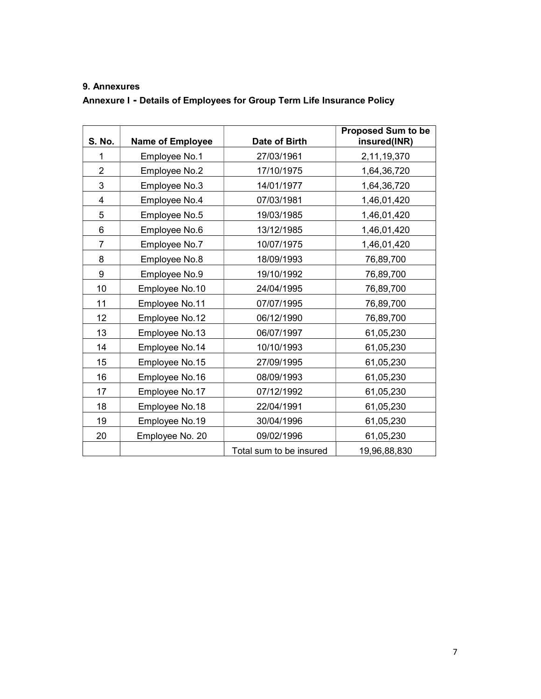## 9. Annexures

Annexure I - Details of Employees for Group Term Life Insurance Policy

| <b>S. No.</b>  | <b>Name of Employee</b> | Date of Birth           | Proposed Sum to be<br>insured(INR) |
|----------------|-------------------------|-------------------------|------------------------------------|
| 1              | Employee No.1           | 27/03/1961              | 2,11,19,370                        |
| $\overline{2}$ | Employee No.2           | 17/10/1975              | 1,64,36,720                        |
| 3              | Employee No.3           | 14/01/1977              | 1,64,36,720                        |
| 4              | Employee No.4           | 07/03/1981              | 1,46,01,420                        |
| 5              | Employee No.5           | 19/03/1985              | 1,46,01,420                        |
| 6              | Employee No.6           | 13/12/1985              | 1,46,01,420                        |
| 7              | Employee No.7           | 10/07/1975              | 1,46,01,420                        |
| 8              | Employee No.8           | 18/09/1993              | 76,89,700                          |
| 9              | Employee No.9           | 19/10/1992              | 76,89,700                          |
| 10             | Employee No.10          | 24/04/1995              | 76,89,700                          |
| 11             | Employee No.11          | 07/07/1995              | 76,89,700                          |
| 12             | Employee No.12          | 06/12/1990              | 76,89,700                          |
| 13             | Employee No.13          | 06/07/1997              | 61,05,230                          |
| 14             | Employee No.14          | 10/10/1993              | 61,05,230                          |
| 15             | Employee No.15          | 27/09/1995              | 61,05,230                          |
| 16             | Employee No.16          | 08/09/1993              | 61,05,230                          |
| 17             | Employee No.17          | 07/12/1992              | 61,05,230                          |
| 18             | Employee No.18          | 22/04/1991              | 61,05,230                          |
| 19             | Employee No.19          | 30/04/1996              | 61,05,230                          |
| 20             | Employee No. 20         | 09/02/1996              | 61,05,230                          |
|                |                         | Total sum to be insured | 19,96,88,830                       |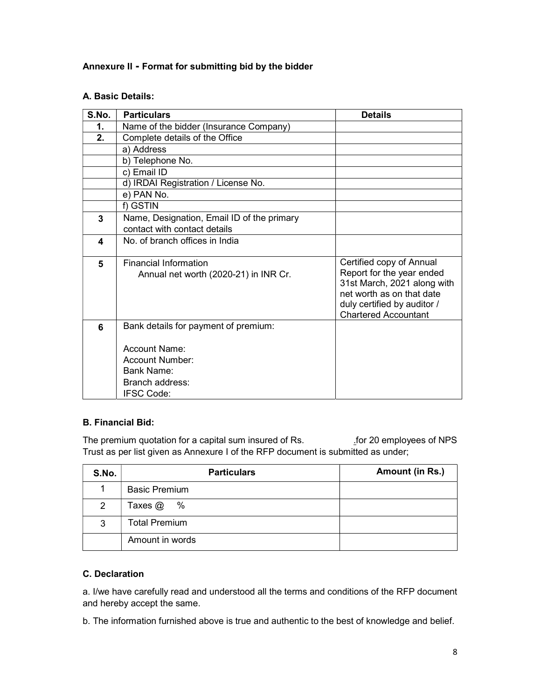#### Annexure II - Format for submitting bid by the bidder

#### A. Basic Details:

| S.No. | <b>Particulars</b>                                                                                                             | <b>Details</b>                                                                                                                                                                  |
|-------|--------------------------------------------------------------------------------------------------------------------------------|---------------------------------------------------------------------------------------------------------------------------------------------------------------------------------|
| 1.    | Name of the bidder (Insurance Company)                                                                                         |                                                                                                                                                                                 |
| 2.    | Complete details of the Office                                                                                                 |                                                                                                                                                                                 |
|       | a) Address                                                                                                                     |                                                                                                                                                                                 |
|       | b) Telephone No.                                                                                                               |                                                                                                                                                                                 |
|       | c) Email ID                                                                                                                    |                                                                                                                                                                                 |
|       | d) IRDAI Registration / License No.                                                                                            |                                                                                                                                                                                 |
|       | e) PAN No.                                                                                                                     |                                                                                                                                                                                 |
|       | f) GSTIN                                                                                                                       |                                                                                                                                                                                 |
| 3     | Name, Designation, Email ID of the primary<br>contact with contact details                                                     |                                                                                                                                                                                 |
| 4     | No. of branch offices in India                                                                                                 |                                                                                                                                                                                 |
| 5     | <b>Financial Information</b><br>Annual net worth (2020-21) in INR Cr.                                                          | Certified copy of Annual<br>Report for the year ended<br>31st March, 2021 along with<br>net worth as on that date<br>duly certified by auditor /<br><b>Chartered Accountant</b> |
| 6     | Bank details for payment of premium:<br>Account Name:<br>Account Number:<br>Bank Name:<br>Branch address:<br><b>IFSC Code:</b> |                                                                                                                                                                                 |

#### B. Financial Bid:

The premium quotation for a capital sum insured of Rs. . . . . . . . . for 20 employees of NPS Trust as per list given as Annexure I of the RFP document is submitted as under;

| S.No. | <b>Particulars</b>   | Amount (in Rs.) |
|-------|----------------------|-----------------|
|       | <b>Basic Premium</b> |                 |
| 2     | $\%$<br>Taxes $@$    |                 |
| 3     | <b>Total Premium</b> |                 |
|       | Amount in words      |                 |

#### C. Declaration

a. I/we have carefully read and understood all the terms and conditions of the RFP document and hereby accept the same.

b. The information furnished above is true and authentic to the best of knowledge and belief.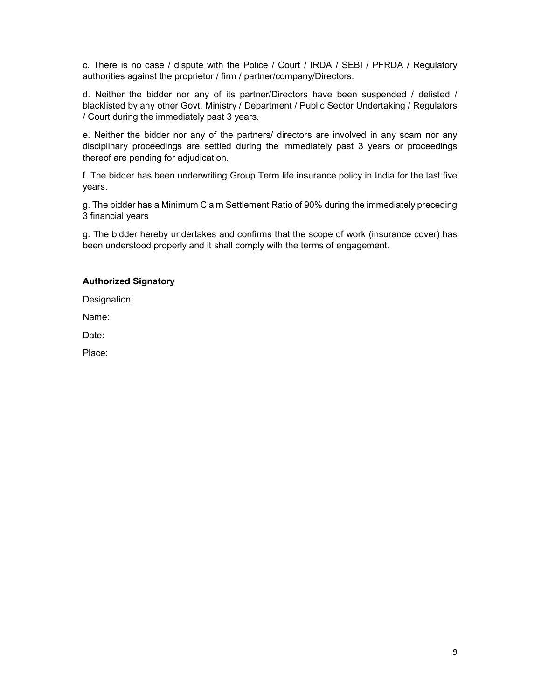c. There is no case / dispute with the Police / Court / IRDA / SEBI / PFRDA / Regulatory authorities against the proprietor / firm / partner/company/Directors.

d. Neither the bidder nor any of its partner/Directors have been suspended / delisted / blacklisted by any other Govt. Ministry / Department / Public Sector Undertaking / Regulators / Court during the immediately past 3 years.

e. Neither the bidder nor any of the partners/ directors are involved in any scam nor any disciplinary proceedings are settled during the immediately past 3 years or proceedings thereof are pending for adjudication.

f. The bidder has been underwriting Group Term life insurance policy in India for the last five years.

g. The bidder has a Minimum Claim Settlement Ratio of 90% during the immediately preceding 3 financial years

g. The bidder hereby undertakes and confirms that the scope of work (insurance cover) has been understood properly and it shall comply with the terms of engagement.

#### Authorized Signatory

Designation:

Name:

Date:

Place: